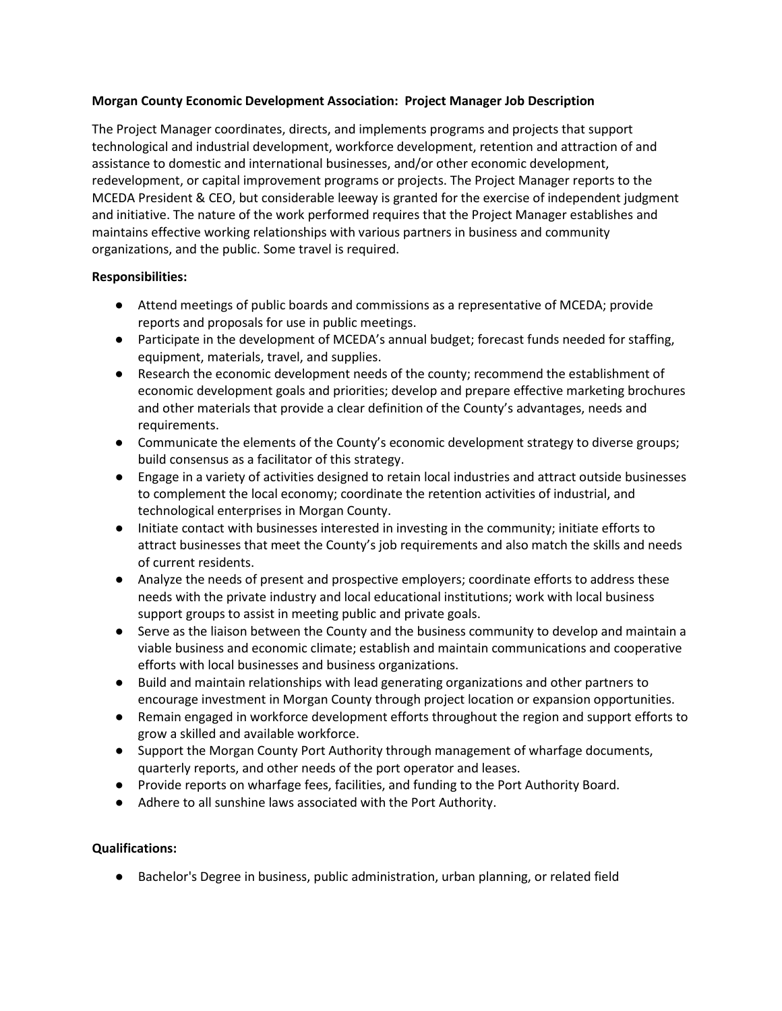### **Morgan County Economic Development Association: Project Manager Job Description**

The Project Manager coordinates, directs, and implements programs and projects that support technological and industrial development, workforce development, retention and attraction of and assistance to domestic and international businesses, and/or other economic development, redevelopment, or capital improvement programs or projects. The Project Manager reports to the MCEDA President & CEO, but considerable leeway is granted for the exercise of independent judgment and initiative. The nature of the work performed requires that the Project Manager establishes and maintains effective working relationships with various partners in business and community organizations, and the public. Some travel is required.

## **Responsibilities:**

- Attend meetings of public boards and commissions as a representative of MCEDA; provide reports and proposals for use in public meetings.
- Participate in the development of MCEDA's annual budget; forecast funds needed for staffing, equipment, materials, travel, and supplies.
- Research the economic development needs of the county; recommend the establishment of economic development goals and priorities; develop and prepare effective marketing brochures and other materials that provide a clear definition of the County's advantages, needs and requirements.
- Communicate the elements of the County's economic development strategy to diverse groups; build consensus as a facilitator of this strategy.
- Engage in a variety of activities designed to retain local industries and attract outside businesses to complement the local economy; coordinate the retention activities of industrial, and technological enterprises in Morgan County.
- Initiate contact with businesses interested in investing in the community; initiate efforts to attract businesses that meet the County's job requirements and also match the skills and needs of current residents.
- Analyze the needs of present and prospective employers; coordinate efforts to address these needs with the private industry and local educational institutions; work with local business support groups to assist in meeting public and private goals.
- Serve as the liaison between the County and the business community to develop and maintain a viable business and economic climate; establish and maintain communications and cooperative efforts with local businesses and business organizations.
- Build and maintain relationships with lead generating organizations and other partners to encourage investment in Morgan County through project location or expansion opportunities.
- Remain engaged in workforce development efforts throughout the region and support efforts to grow a skilled and available workforce.
- Support the Morgan County Port Authority through management of wharfage documents, quarterly reports, and other needs of the port operator and leases.
- Provide reports on wharfage fees, facilities, and funding to the Port Authority Board.
- Adhere to all sunshine laws associated with the Port Authority.

# **Qualifications:**

● Bachelor's Degree in business, public administration, urban planning, or related field